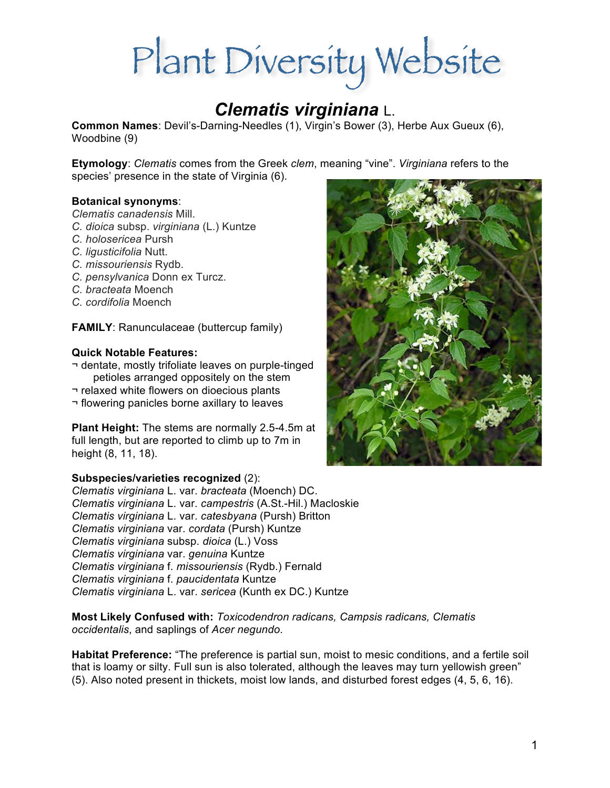# Plant Diversity Website

# *Clematis virginiana* L.

**Common Names**: Devil's-Darning-Needles (1), Virgin's Bower (3), Herbe Aux Gueux (6), Woodbine (9)

**Etymology**: *Clematis* comes from the Greek *clem*, meaning "vine". *Virginiana* refers to the species' presence in the state of Virginia (6).

### **Botanical synonyms**:

*Clematis canadensis* Mill.

- *C. dioica* subsp. *virginiana* (L.) Kuntze
- *C. holosericea* Pursh
- *C. ligusticifolia* Nutt.
- *C. missouriensis* Rydb.
- *C. pensylvanica* Donn ex Turcz.
- *C. bracteata* Moench
- *C. cordifolia* Moench

**FAMILY**: Ranunculaceae (buttercup family)

#### **Quick Notable Features:**

¬ dentate, mostly trifoliate leaves on purple-tinged petioles arranged oppositely on the stem

- ¬ relaxed white flowers on dioecious plants
- ¬ flowering panicles borne axillary to leaves

**Plant Height:** The stems are normally 2.5-4.5m at full length, but are reported to climb up to 7m in height (8, 11, 18).

### **Subspecies/varieties recognized** (2):

*Clematis virginiana* L. var. *bracteata* (Moench) DC. *Clematis virginiana* L. var. *campestris* (A.St.-Hil.) Macloskie *Clematis virginiana* L. var. *catesbyana* (Pursh) Britton *Clematis virginiana* var. *cordata* (Pursh) Kuntze *Clematis virginiana* subsp. *dioica* (L.) Voss *Clematis virginiana* var. *genuina* Kuntze *Clematis virginiana* f. *missouriensis* (Rydb.) Fernald *Clematis virginiana* f. *paucidentata* Kuntze *Clematis virginiana* L. var. *sericea* (Kunth ex DC.) Kuntze

**Most Likely Confused with:** *Toxicodendron radicans, Campsis radicans, Clematis occidentalis*, and saplings of *Acer negundo*.

**Habitat Preference:** "The preference is partial sun, moist to mesic conditions, and a fertile soil that is loamy or silty. Full sun is also tolerated, although the leaves may turn yellowish green" (5). Also noted present in thickets, moist low lands, and disturbed forest edges (4, 5, 6, 16).

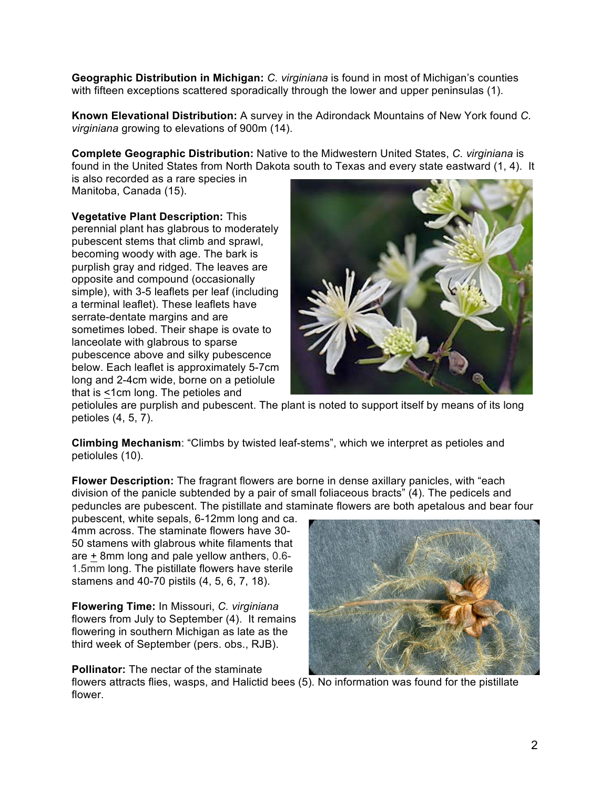**Geographic Distribution in Michigan:** *C. virginiana* is found in most of Michigan's counties with fifteen exceptions scattered sporadically through the lower and upper peninsulas (1).

**Known Elevational Distribution:** A survey in the Adirondack Mountains of New York found *C. virginiana* growing to elevations of 900m (14).

**Complete Geographic Distribution:** Native to the Midwestern United States, *C. virginiana* is found in the United States from North Dakota south to Texas and every state eastward (1, 4). It

is also recorded as a rare species in Manitoba, Canada (15).

**Vegetative Plant Description:** This perennial plant has glabrous to moderately pubescent stems that climb and sprawl, becoming woody with age. The bark is purplish gray and ridged. The leaves are opposite and compound (occasionally simple), with 3-5 leaflets per leaf (including a terminal leaflet). These leaflets have serrate-dentate margins and are sometimes lobed. Their shape is ovate to lanceolate with glabrous to sparse pubescence above and silky pubescence below. Each leaflet is approximately 5-7cm long and 2-4cm wide, borne on a petiolule that is <1cm long. The petioles and



petiolules are purplish and pubescent. The plant is noted to support itself by means of its long petioles (4, 5, 7).

**Climbing Mechanism**: "Climbs by twisted leaf-stems", which we interpret as petioles and petiolules (10).

**Flower Description:** The fragrant flowers are borne in dense axillary panicles, with "each division of the panicle subtended by a pair of small foliaceous bracts" (4). The pedicels and peduncles are pubescent. The pistillate and staminate flowers are both apetalous and bear four

pubescent, white sepals, 6-12mm long and ca. 4mm across. The staminate flowers have 30- 50 stamens with glabrous white filaments that are + 8mm long and pale yellow anthers, 0.6- 1.5mm long. The pistillate flowers have sterile stamens and 40-70 pistils (4, 5, 6, 7, 18).

**Flowering Time:** In Missouri, *C. virginiana* flowers from July to September (4). It remains flowering in southern Michigan as late as the third week of September (pers. obs., RJB).

## **Pollinator:** The nectar of the staminate



flowers attracts flies, wasps, and Halictid bees (5). No information was found for the pistillate flower.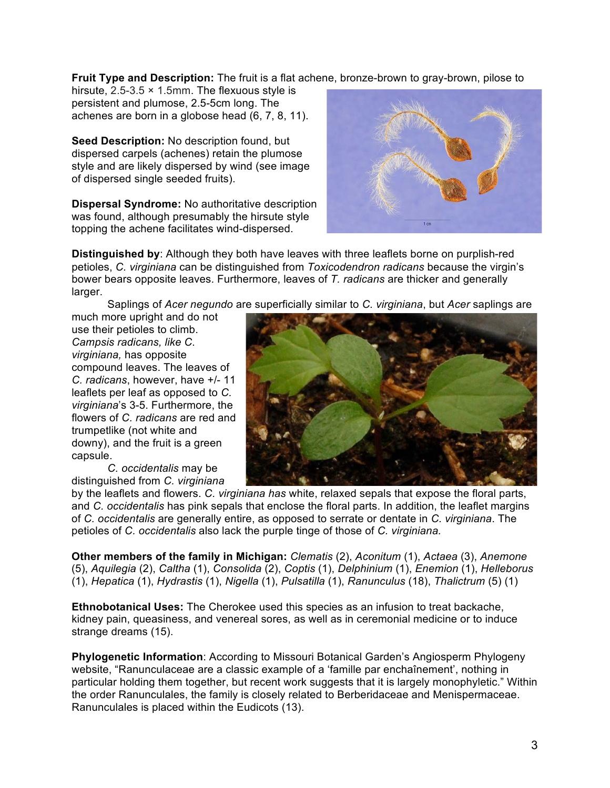**Fruit Type and Description:** The fruit is a flat achene, bronze-brown to gray-brown, pilose to

hirsute,  $2.5 - 3.5 \times 1.5$ mm. The flexuous style is persistent and plumose, 2.5-5cm long. The achenes are born in a globose head (6, 7, 8, 11).

**Seed Description:** No description found, but dispersed carpels (achenes) retain the plumose style and are likely dispersed by wind (see image of dispersed single seeded fruits).

**Dispersal Syndrome:** No authoritative description was found, although presumably the hirsute style topping the achene facilitates wind-dispersed.



**Distinguished by**: Although they both have leaves with three leaflets borne on purplish-red petioles, *C. virginiana* can be distinguished from *Toxicodendron radicans* because the virgin's bower bears opposite leaves. Furthermore, leaves of *T. radicans* are thicker and generally larger.

Saplings of *Acer negundo* are superficially similar to *C. virginiana*, but *Acer* saplings are

much more upright and do not use their petioles to climb. *Campsis radicans, like C. virginiana,* has opposite compound leaves. The leaves of *C. radicans*, however, have +/- 11 leaflets per leaf as opposed to *C. virginiana*'s 3-5. Furthermore, the flowers of *C. radicans* are red and trumpetlike (not white and downy), and the fruit is a green capsule.

*C. occidentalis* may be distinguished from *C. virginiana* 



by the leaflets and flowers. *C. virginiana has* white, relaxed sepals that expose the floral parts, and *C. occidentalis* has pink sepals that enclose the floral parts. In addition, the leaflet margins of *C. occidentalis* are generally entire, as opposed to serrate or dentate in *C. virginiana*. The petioles of *C. occidentalis* also lack the purple tinge of those of *C. virginiana.* 

**Other members of the family in Michigan:** *Clematis* (2), *Aconitum* (1), *Actaea* (3), *Anemone* (5), *Aquilegia* (2), *Caltha* (1), *Consolida* (2), *Coptis* (1), *Delphinium* (1), *Enemion* (1), *Helleborus* (1), *Hepatica* (1), *Hydrastis* (1), *Nigella* (1), *Pulsatilla* (1), *Ranunculus* (18), *Thalictrum* (5) (1)

**Ethnobotanical Uses:** The Cherokee used this species as an infusion to treat backache, kidney pain, queasiness, and venereal sores, as well as in ceremonial medicine or to induce strange dreams (15).

**Phylogenetic Information**: According to Missouri Botanical Garden's Angiosperm Phylogeny website, "Ranunculaceae are a classic example of a 'famille par enchaînement', nothing in particular holding them together, but recent work suggests that it is largely monophyletic." Within the order Ranunculales, the family is closely related to Berberidaceae and Menispermaceae. Ranunculales is placed within the Eudicots (13).